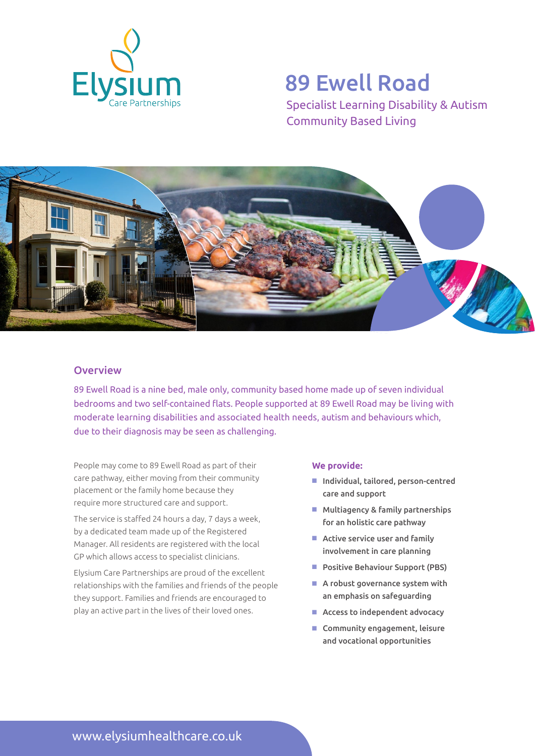

# 89 Ewell Road

Specialist Learning Disability & Autism Community Based Living



## **Overview**

89 Ewell Road is a nine bed, male only, community based home made up of seven individual bedrooms and two self-contained flats. People supported at 89 Ewell Road may be living with moderate learning disabilities and associated health needs, autism and behaviours which, due to their diagnosis may be seen as challenging.

People may come to 89 Ewell Road as part of their care pathway, either moving from their community placement or the family home because they require more structured care and support.

The service is staffed 24 hours a day, 7 days a week, by a dedicated team made up of the Registered Manager. All residents are registered with the local GP which allows access to specialist clinicians.

Elysium Care Partnerships are proud of the excellent relationships with the families and friends of the people they support. Families and friends are encouraged to play an active part in the lives of their loved ones.

### **We provide:**

- Individual, tailored, person-centred care and support
- $M$  Multiagency & family partnerships for an holistic care pathway
- $\blacksquare$  Active service user and family involvement in care planning
- Positive Behaviour Support (PBS)
- $\blacksquare$  A robust governance system with an emphasis on safeguarding
- $\blacksquare$  Access to independent advocacy
- $\blacksquare$  Community engagement, leisure and vocational opportunities